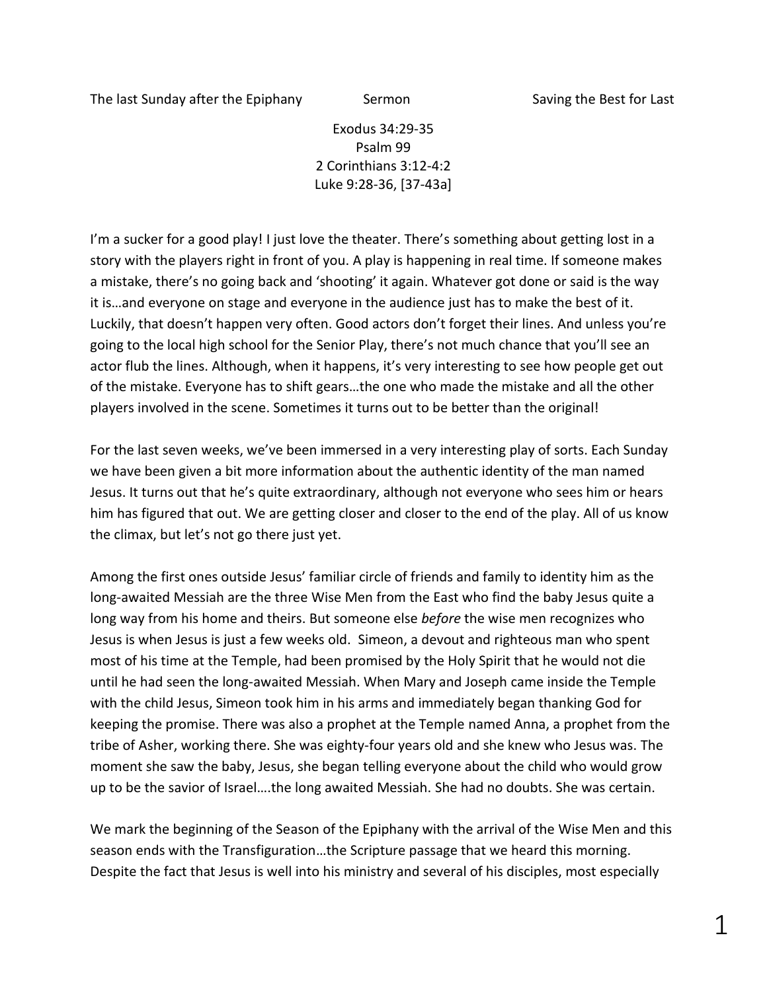The last Sunday after the Epiphany Sermon Saving the Best for Last

Exodus 34:29-35 Psalm 99 2 Corinthians 3:12-4:2 Luke 9:28-36, [37-43a]

I'm a sucker for a good play! I just love the theater. There's something about getting lost in a story with the players right in front of you. A play is happening in real time. If someone makes a mistake, there's no going back and 'shooting' it again. Whatever got done or said is the way it is…and everyone on stage and everyone in the audience just has to make the best of it. Luckily, that doesn't happen very often. Good actors don't forget their lines. And unless you're going to the local high school for the Senior Play, there's not much chance that you'll see an actor flub the lines. Although, when it happens, it's very interesting to see how people get out of the mistake. Everyone has to shift gears…the one who made the mistake and all the other players involved in the scene. Sometimes it turns out to be better than the original!

For the last seven weeks, we've been immersed in a very interesting play of sorts. Each Sunday we have been given a bit more information about the authentic identity of the man named Jesus. It turns out that he's quite extraordinary, although not everyone who sees him or hears him has figured that out. We are getting closer and closer to the end of the play. All of us know the climax, but let's not go there just yet.

Among the first ones outside Jesus' familiar circle of friends and family to identity him as the long-awaited Messiah are the three Wise Men from the East who find the baby Jesus quite a long way from his home and theirs. But someone else *before* the wise men recognizes who Jesus is when Jesus is just a few weeks old. Simeon, a devout and righteous man who spent most of his time at the Temple, had been promised by the Holy Spirit that he would not die until he had seen the long-awaited Messiah. When Mary and Joseph came inside the Temple with the child Jesus, Simeon took him in his arms and immediately began thanking God for keeping the promise. There was also a prophet at the Temple named Anna, a prophet from the tribe of Asher, working there. She was eighty-four years old and she knew who Jesus was. The moment she saw the baby, Jesus, she began telling everyone about the child who would grow up to be the savior of Israel….the long awaited Messiah. She had no doubts. She was certain.

We mark the beginning of the Season of the Epiphany with the arrival of the Wise Men and this season ends with the Transfiguration…the Scripture passage that we heard this morning. Despite the fact that Jesus is well into his ministry and several of his disciples, most especially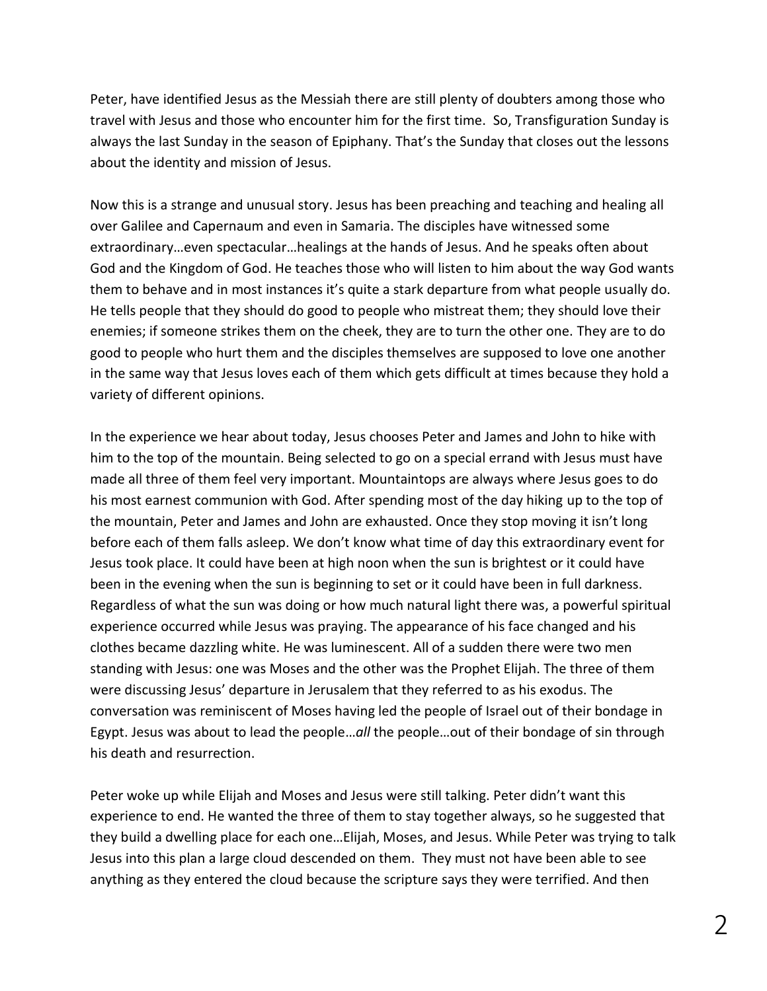Peter, have identified Jesus as the Messiah there are still plenty of doubters among those who travel with Jesus and those who encounter him for the first time. So, Transfiguration Sunday is always the last Sunday in the season of Epiphany. That's the Sunday that closes out the lessons about the identity and mission of Jesus.

Now this is a strange and unusual story. Jesus has been preaching and teaching and healing all over Galilee and Capernaum and even in Samaria. The disciples have witnessed some extraordinary…even spectacular…healings at the hands of Jesus. And he speaks often about God and the Kingdom of God. He teaches those who will listen to him about the way God wants them to behave and in most instances it's quite a stark departure from what people usually do. He tells people that they should do good to people who mistreat them; they should love their enemies; if someone strikes them on the cheek, they are to turn the other one. They are to do good to people who hurt them and the disciples themselves are supposed to love one another in the same way that Jesus loves each of them which gets difficult at times because they hold a variety of different opinions.

In the experience we hear about today, Jesus chooses Peter and James and John to hike with him to the top of the mountain. Being selected to go on a special errand with Jesus must have made all three of them feel very important. Mountaintops are always where Jesus goes to do his most earnest communion with God. After spending most of the day hiking up to the top of the mountain, Peter and James and John are exhausted. Once they stop moving it isn't long before each of them falls asleep. We don't know what time of day this extraordinary event for Jesus took place. It could have been at high noon when the sun is brightest or it could have been in the evening when the sun is beginning to set or it could have been in full darkness. Regardless of what the sun was doing or how much natural light there was, a powerful spiritual experience occurred while Jesus was praying. The appearance of his face changed and his clothes became dazzling white. He was luminescent. All of a sudden there were two men standing with Jesus: one was Moses and the other was the Prophet Elijah. The three of them were discussing Jesus' departure in Jerusalem that they referred to as his exodus. The conversation was reminiscent of Moses having led the people of Israel out of their bondage in Egypt. Jesus was about to lead the people…*all* the people…out of their bondage of sin through his death and resurrection.

Peter woke up while Elijah and Moses and Jesus were still talking. Peter didn't want this experience to end. He wanted the three of them to stay together always, so he suggested that they build a dwelling place for each one…Elijah, Moses, and Jesus. While Peter was trying to talk Jesus into this plan a large cloud descended on them. They must not have been able to see anything as they entered the cloud because the scripture says they were terrified. And then